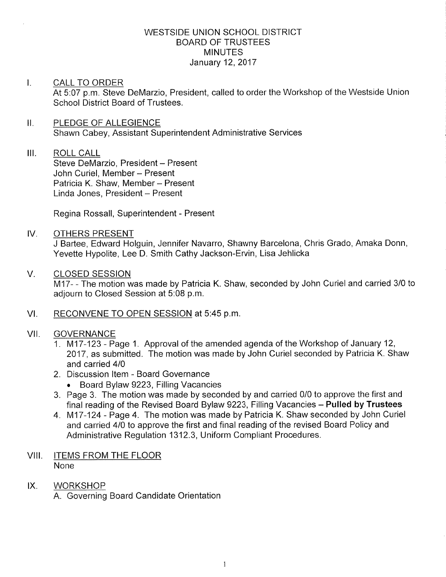### WESTSIDE UNION SCHOOL DISTRICT BOARD OF TRUSTEES **MINUTES** January 12,2017

#### I. CALL TO ORDER At 5:07 p.m. Steve DeMarzio, President, called to order the Workshop of the Westside Union School District Board of Trustees.

### II. PLEDGE OF ALLEGIENCE Shawn Cabey, Assistant Superintendent Administrative Services

# III. ROLL CALL

Steve DeMarzio, President - Present John Curiel, Member - Present Patricia K. Shaw, Member - Present Linda Jones, President - Present

Regina Rossall, Superintendent - Present

## IV. OTHERS PRESENT

J Bartee, Edward Holguin, Jennifer Navarro, Shawny Barcelona, Chris Grado, Amaka Donn, Yevette Hypolite, Lee D. Smith Cathy Jackson-Ervin, Lisa Jehlicka

### V. CLOSED SESSION

M17- - The motion was made by Patricia K. Shaw, seconded by John Curiel and carried 3/0 to adjourn to Closed Session at 5:08 p.m.

## VI. RECONVENE TO OPEN SESSION at 5:45 p.m.

## VII. GOVERNANCE

- 1. M17-123 Page 1. Approval of the amended agenda of the Workshop of January 12, 2017, as submitted. The motion was made by John Curiel seconded by Patricia K. Shaw and carried 410
- 2. Discussion ltem Board Governance
	- . Board Bylaw 9223, Filling Vacancies
- 3. Page 3. The motion was made by seconded by and carried 0/0 to approve the first and final reading of the Revised Board Bylaw 9223, Filling Vacancies **Pulled by Trustees**
- 4. M17-124 Page 4. The motion was made by Patricia K. Shaw seconded by John Curiel and carried 410 to approve the first and final reading of the revised Board Policy and Administrative Regulation 1312.3, Uniform Compliant Procedures.

#### VIII. ITEMS FROM THE FLOOR None

IX. WORKSHOP A. Governing Board Candidate Orientation